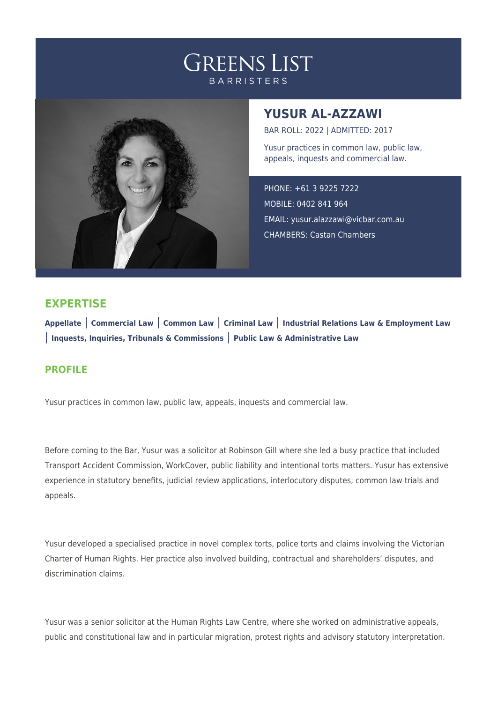## **GREENS LIST BARRISTERS**



## **YUSUR AL-AZZAWI**

BAR ROLL: 2022 | ADMITTED: 2017

Yusur practices in common law, public law, appeals, inquests and commercial law.

PHONE: +61 3 9225 7222 MOBILE: 0402 841 964 EMAIL: [yusur.alazzawi@vicbar.com.au](mailto:yusur.alazzawi@vicbar.com.au) CHAMBERS: Castan Chambers

## **EXPERTISE**

**Appellate** | **Commercial Law** | **Common Law** | **Criminal Law** | **Industrial Relations Law & Employment Law** | **Inquests, Inquiries, Tribunals & Commissions** | **Public Law & Administrative Law**

## **PROFILE**

Yusur practices in common law, public law, appeals, inquests and commercial law.

Before coming to the Bar, Yusur was a solicitor at Robinson Gill where she led a busy practice that included Transport Accident Commission, WorkCover, public liability and intentional torts matters. Yusur has extensive experience in statutory benefits, judicial review applications, interlocutory disputes, common law trials and appeals.

Yusur developed a specialised practice in novel complex torts, police torts and claims involving the Victorian Charter of Human Rights. Her practice also involved building, contractual and shareholders' disputes, and discrimination claims.

Yusur was a senior solicitor at the Human Rights Law Centre, where she worked on administrative appeals, public and constitutional law and in particular migration, protest rights and advisory statutory interpretation.